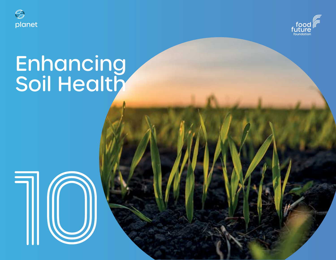



# **Enhancing** Soil Health

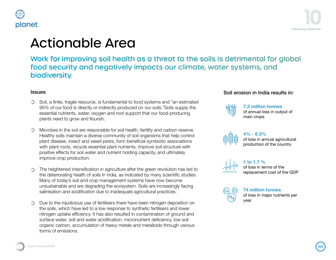#### planet



# Actionable Area

Work for improving soil health as a threat to the soils is detrimental for global food security and negatively impacts our climate, water systems, and biodiversity.

- Soil, a finite, fragile resource, is fundamental to food systems and "an estimated 95% of our food is directly or indirectly produced on our soils."Soils supply the essential nutrients, water, oxygen and root support that our food-producing plants need to grow and flourish.
- Microbes in the soil are responsible for soil health, fertility and carbon reserve. Healthy soils maintain a diverse community of soil organisms that help control plant disease, insect and weed pests, form beneficial symbiotic associations with plant roots, recycle essential plant nutrients, improve soil structure with

ffects for soil water and nutrient holding capacity, and ultimately improve crop production.

rms of emissions.

on in agriculture after the green revolution has led to  $\frac{1}{10}$  oils in India, as indicated by many scientific studies. bp management systems have now become hable and are degrading the ecosystem. Soils are increasingly facing sation and acidification due to inadequate agricultural practices.

**To the injudicious use** of fertilisers there have been nitrogen deposition on soils, which have led **to** a low response to synthetic fertilisers and lower rogen uptake efficiency. It has also resulted in contamination of ground and face water, soil and water acidification, micronutrient deficiency, low soil ganic carbon, accumulation of heavy metals and metalloids through various

#### **Issues** Soil erosion in India results in:



**7.2 million tonnes** of annual loss in output of main crops



**4% - 6.3%**  of loss in annual agricultural production of the country



**1 to 1.7 %** of loss in terms of the replacement cost of the GDP



**74 million tonnes**

of loss in major nutrients per year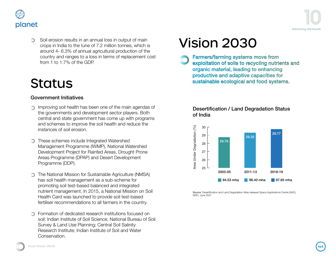



Soil erosion results in an annual loss in output of main ∩ crops in India to the tune of 7.2 million tonnes, which is around 4- 6.3% of annual agricultural production of the country and ranges to a loss in terms of replacement cost from 1 to 1.7% of the GDP.

### **Status**

#### Government Initiatives

- **Improving soil health has been one of the main agendas of** the governments and development sector players. Both central and state government has come up with programs and schemes to improve the soil health and reduce the instances of soil erosion.
- These schemes include Integrated Watershed Management Programme (IWMP), National Watershed Development Project for Rainfed Areas, Drought Prone Areas Programme (DPAP) and Desert Development Programme (DDP).
- **The National Mission for Sustainable Agriculture (NMSA)** has soil health management as a sub-scheme for promoting soil test-based balanced and integrated nutrient management. In 2015, a National Mission on Soil Health Card was launched to provide soil test-based fertiliser recommendations to all farmers in the country.
- Formation of dedicated research institutions focused on soil: Indian Institute of Soil Science; National Bureau of Soil Survey & Land Use Planning; Central Soil Salinity Research Institute; Indian Institute of Soil and Water Conservation.

## Vision 2030

Farmers/farming systems move from exploitation of soils to recycling nutrients and organic material, leading to enhancing productive and adaptive capacities for sustainable ecological and food systems.

#### Desertification / Land Degradation Status of India



Source: Desertification and Land Degradation Atlas released Space Applications Centre (SAC), ISRO, June 2021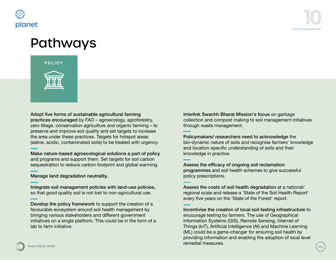

### Pathways



Adopt five forms of sustainable agricultural farming practices encouraged by FAO – agroecology, agroforestry, zero tillage, conservation agriculture and organic farming – to preserve and improve soil quality and set targets to increase the area under these practices. Targets for hotspot areas (saline, acidic, contaminated soils) to be treated with urgency.

Make nature-based agroecological solutions a part of policy and programs and support them. Set targets for soil carbon sequestration to reduce carbon footprint and global warming.

Manage land degradation neutrality.

Integrate soil management policies with land-use policies, so that good quality soil is not lost to non-agricultural use.

Develop the policy framework to support the creation of a favourable ecosystem around soil health management by bringing various stakeholders and different government initiatives on a single platform. This could be in the form of a lab to farm initiative.

Interlink Swachh Bharat Mission's focus on garbage collection and compost making to soil management initiatives through waste management.

Policymakers/ researchers need to acknowledge the bio-dynamic nature of soils and recognise farmers' knowledge and location-specific understanding of soils and their knowledge in practice.

Assess the efficacy of ongoing soil reclamation programmes and soil health schemes to give successful policy prescriptions.

Assess the costs of soil health degradation at a national/ regional scale and release a 'State of the Soil Health Report' every five years on the 'State of the Forest' report.

Incentivise the creation of local soil testing infrastructure to encourage testing by farmers. The use of Geographical Information Systems (GIS), Remote Sensing, Internet of Things (IoT), Artificial Intelligence (AI) and Machine Learning (ML) could be a game-changer for ensuring soil health by providing information and enabling the adoption of local level remedial measures.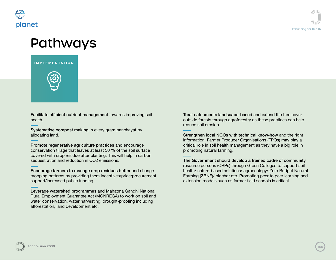

### Pathways





Facilitate efficient nutrient management towards improving soil health.

Systematise compost making in every gram panchayat by allocating land.

Promote regenerative agriculture practices and encourage conservation tillage that leaves at least 30 % of the soil surface covered with crop residue after planting. This will help in carbon sequestration and reduction in CO2 emissions.

Encourage farmers to manage crop residues better and change cropping patterns by providing them incentives/price/procurement support/increased public funding.

Leverage watershed programmes and Mahatma Gandhi National Rural Employment Guarantee Act (MGNREGA) to work on soil and water conservation, water harvesting, drought-proofing including afforestation, land development etc.

Treat catchments landscape-based and extend the tree cover outside forests through agroforestry as these practices can help reduce soil erosion.

Strengthen local NGOs with technical know-how and the right information. Farmer Producer Organisations (FPOs) may play a critical role in soil health management as they have a big role in promoting natural farming.

The Government should develop a trained cadre of community resource persons (CRPs) through Green Colleges to support soil health/ nature-based solutions/ agroecology/ Zero Budget Natural Farming (ZBNF)/ biochar etc. Promoting peer to peer learning and extension models such as farmer field schools is critical.